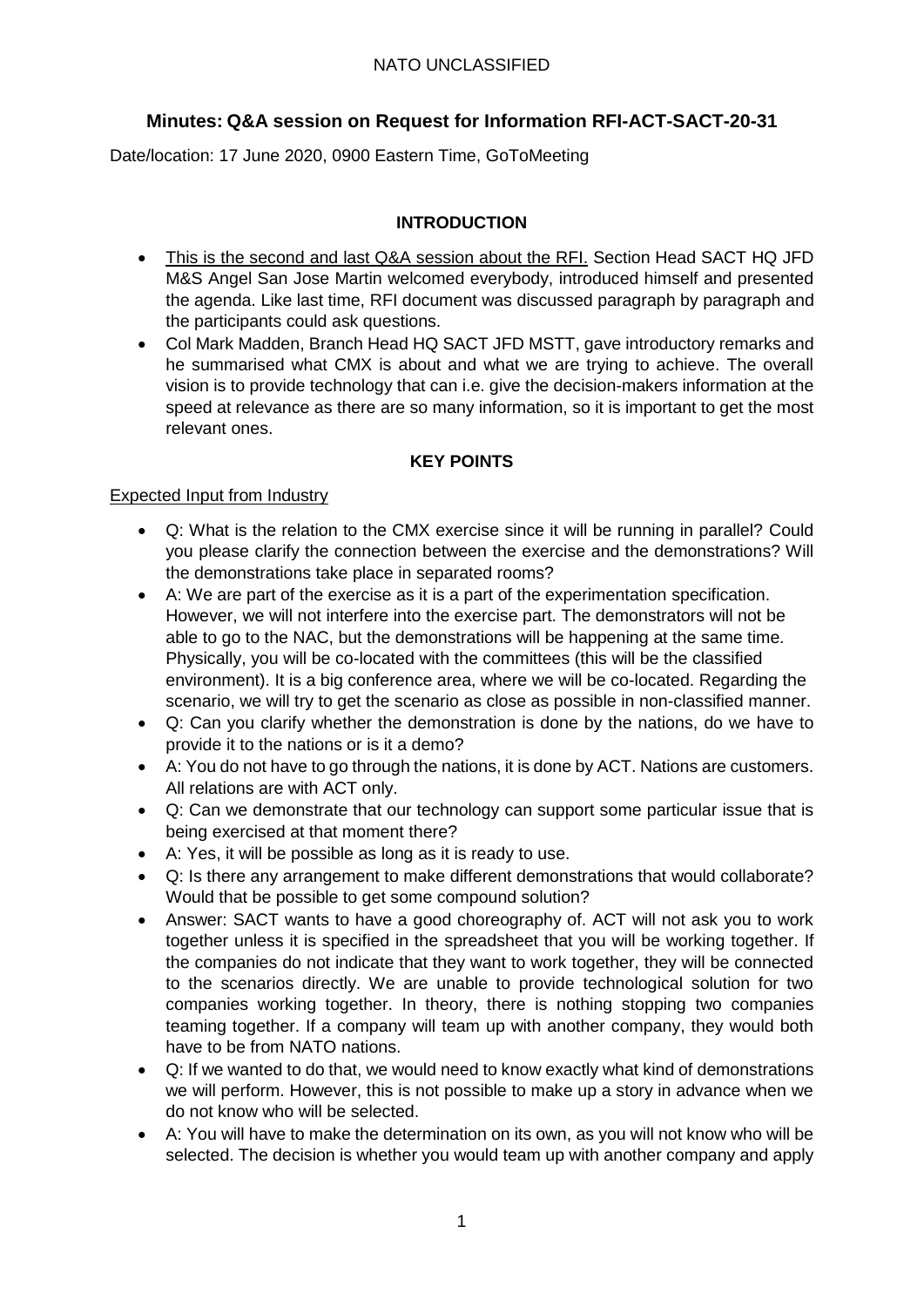# **Minutes: Q&A session on Request for Information RFI-ACT-SACT-20-31**

Date/location: 17 June 2020, 0900 Eastern Time, GoToMeeting

# **INTRODUCTION**

- This is the second and last Q&A session about the RFI. Section Head SACT HQ JFD M&S Angel San Jose Martin welcomed everybody, introduced himself and presented the agenda. Like last time, RFI document was discussed paragraph by paragraph and the participants could ask questions.
- Col Mark Madden, Branch Head HQ SACT JFD MSTT, gave introductory remarks and he summarised what CMX is about and what we are trying to achieve. The overall vision is to provide technology that can i.e. give the decision-makers information at the speed at relevance as there are so many information, so it is important to get the most relevant ones.

# **KEY POINTS**

# Expected Input from Industry

- Q: What is the relation to the CMX exercise since it will be running in parallel? Could you please clarify the connection between the exercise and the demonstrations? Will the demonstrations take place in separated rooms?
- A: We are part of the exercise as it is a part of the experimentation specification. However, we will not interfere into the exercise part. The demonstrators will not be able to go to the NAC, but the demonstrations will be happening at the same time. Physically, you will be co-located with the committees (this will be the classified environment). It is a big conference area, where we will be co-located. Regarding the scenario, we will try to get the scenario as close as possible in non-classified manner.
- Q: Can you clarify whether the demonstration is done by the nations, do we have to provide it to the nations or is it a demo?
- A: You do not have to go through the nations, it is done by ACT. Nations are customers. All relations are with ACT only.
- Q: Can we demonstrate that our technology can support some particular issue that is being exercised at that moment there?
- A: Yes, it will be possible as long as it is ready to use.
- Q: Is there any arrangement to make different demonstrations that would collaborate? Would that be possible to get some compound solution?
- Answer: SACT wants to have a good choreography of. ACT will not ask you to work together unless it is specified in the spreadsheet that you will be working together. If the companies do not indicate that they want to work together, they will be connected to the scenarios directly. We are unable to provide technological solution for two companies working together. In theory, there is nothing stopping two companies teaming together. If a company will team up with another company, they would both have to be from NATO nations.
- Q: If we wanted to do that, we would need to know exactly what kind of demonstrations we will perform. However, this is not possible to make up a story in advance when we do not know who will be selected.
- A: You will have to make the determination on its own, as you will not know who will be selected. The decision is whether you would team up with another company and apply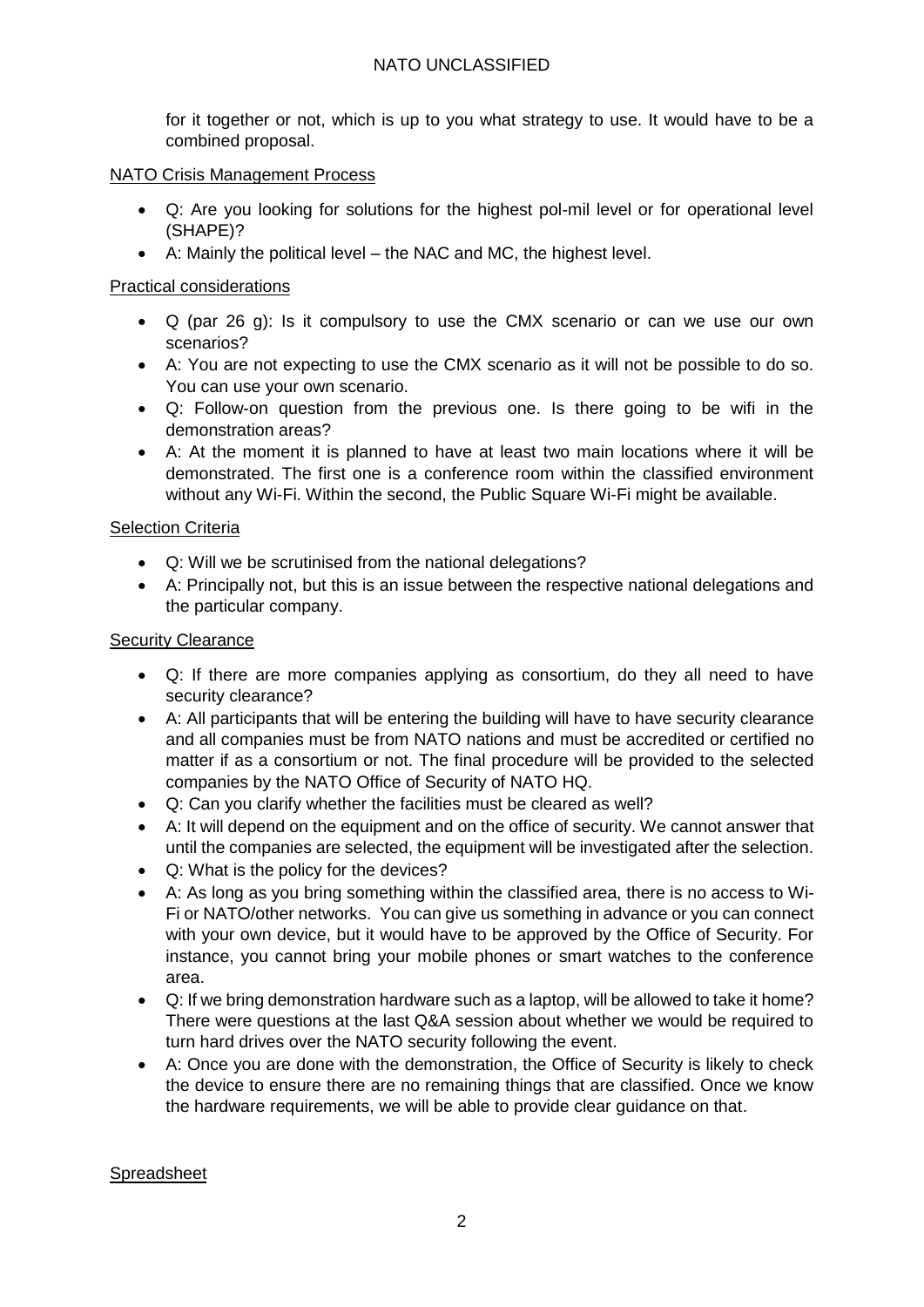# NATO UNCLASSIFIED

for it together or not, which is up to you what strategy to use. It would have to be a combined proposal.

#### NATO Crisis Management Process

- Q: Are you looking for solutions for the highest pol-mil level or for operational level (SHAPE)?
- A: Mainly the political level the NAC and MC, the highest level.

### Practical considerations

- Q (par 26 g): Is it compulsory to use the CMX scenario or can we use our own scenarios?
- A: You are not expecting to use the CMX scenario as it will not be possible to do so. You can use your own scenario.
- Q: Follow-on question from the previous one. Is there going to be wifi in the demonstration areas?
- A: At the moment it is planned to have at least two main locations where it will be demonstrated. The first one is a conference room within the classified environment without any Wi-Fi. Within the second, the Public Square Wi-Fi might be available.

#### **Selection Criteria**

- Q: Will we be scrutinised from the national delegations?
- A: Principally not, but this is an issue between the respective national delegations and the particular company.

#### Security Clearance

- Q: If there are more companies applying as consortium, do they all need to have security clearance?
- A: All participants that will be entering the building will have to have security clearance and all companies must be from NATO nations and must be accredited or certified no matter if as a consortium or not. The final procedure will be provided to the selected companies by the NATO Office of Security of NATO HQ.
- Q: Can you clarify whether the facilities must be cleared as well?
- A: It will depend on the equipment and on the office of security. We cannot answer that until the companies are selected, the equipment will be investigated after the selection.
- Q: What is the policy for the devices?
- A: As long as you bring something within the classified area, there is no access to Wi-Fi or NATO/other networks. You can give us something in advance or you can connect with your own device, but it would have to be approved by the Office of Security. For instance, you cannot bring your mobile phones or smart watches to the conference area.
- Q: If we bring demonstration hardware such as a laptop, will be allowed to take it home? There were questions at the last Q&A session about whether we would be required to turn hard drives over the NATO security following the event.
- A: Once you are done with the demonstration, the Office of Security is likely to check the device to ensure there are no remaining things that are classified. Once we know the hardware requirements, we will be able to provide clear guidance on that.

#### Spreadsheet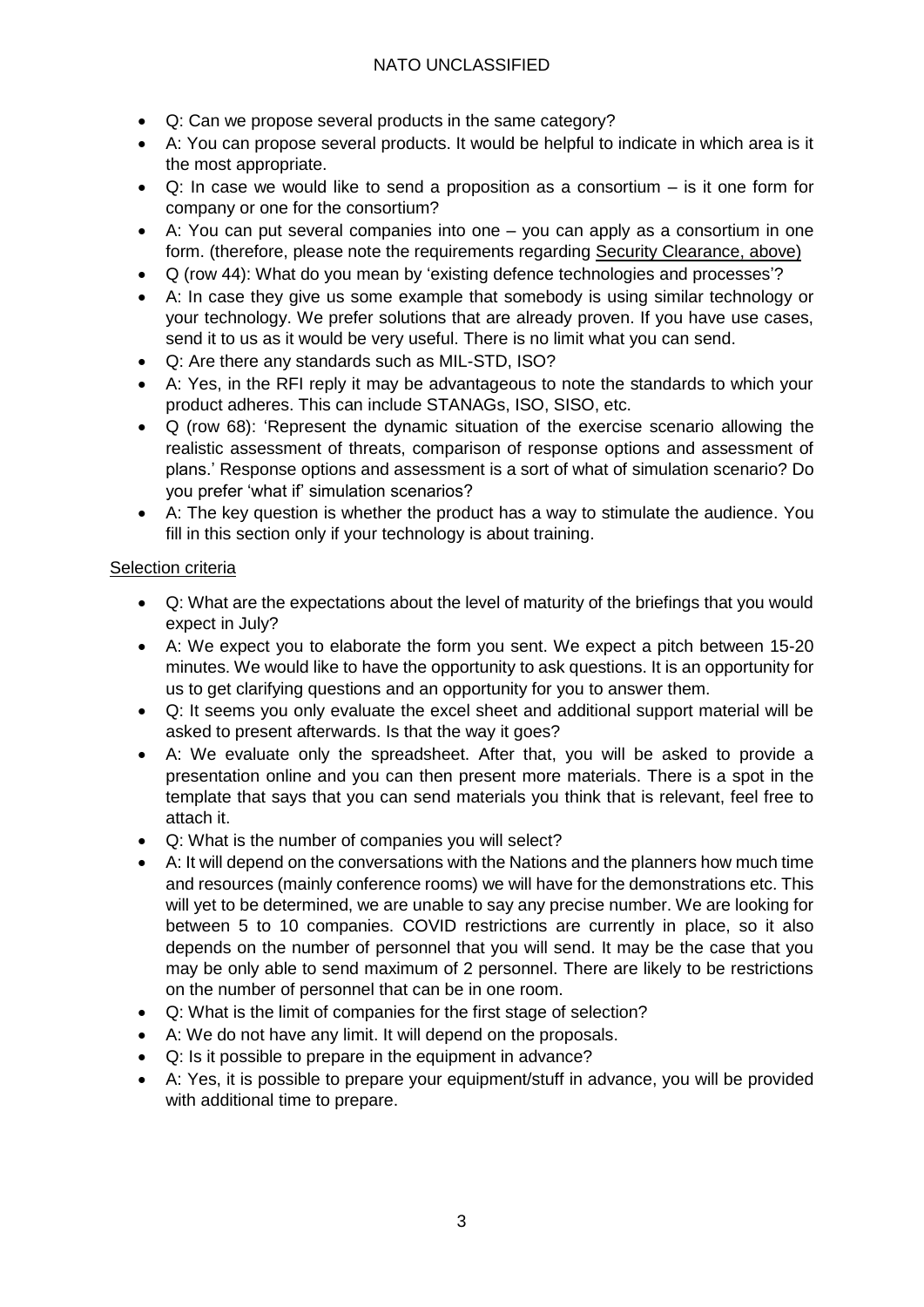# NATO UNCLASSIFIED

- Q: Can we propose several products in the same category?
- A: You can propose several products. It would be helpful to indicate in which area is it the most appropriate.
- Q: In case we would like to send a proposition as a consortium is it one form for company or one for the consortium?
- A: You can put several companies into one you can apply as a consortium in one form. (therefore, please note the requirements regarding Security Clearance, above)
- Q (row 44): What do you mean by 'existing defence technologies and processes'?
- A: In case they give us some example that somebody is using similar technology or your technology. We prefer solutions that are already proven. If you have use cases, send it to us as it would be very useful. There is no limit what you can send.
- Q: Are there any standards such as MIL-STD, ISO?
- A: Yes, in the RFI reply it may be advantageous to note the standards to which your product adheres. This can include STANAGs, ISO, SISO, etc.
- Q (row 68): 'Represent the dynamic situation of the exercise scenario allowing the realistic assessment of threats, comparison of response options and assessment of plans.' Response options and assessment is a sort of what of simulation scenario? Do you prefer 'what if' simulation scenarios?
- A: The key question is whether the product has a way to stimulate the audience. You fill in this section only if your technology is about training.

# Selection criteria

- Q: What are the expectations about the level of maturity of the briefings that you would expect in July?
- A: We expect you to elaborate the form you sent. We expect a pitch between 15-20 minutes. We would like to have the opportunity to ask questions. It is an opportunity for us to get clarifying questions and an opportunity for you to answer them.
- Q: It seems you only evaluate the excel sheet and additional support material will be asked to present afterwards. Is that the way it goes?
- A: We evaluate only the spreadsheet. After that, you will be asked to provide a presentation online and you can then present more materials. There is a spot in the template that says that you can send materials you think that is relevant, feel free to attach it.
- Q: What is the number of companies you will select?
- A: It will depend on the conversations with the Nations and the planners how much time and resources (mainly conference rooms) we will have for the demonstrations etc. This will yet to be determined, we are unable to say any precise number. We are looking for between 5 to 10 companies. COVID restrictions are currently in place, so it also depends on the number of personnel that you will send. It may be the case that you may be only able to send maximum of 2 personnel. There are likely to be restrictions on the number of personnel that can be in one room.
- Q: What is the limit of companies for the first stage of selection?
- A: We do not have any limit. It will depend on the proposals.
- Q: Is it possible to prepare in the equipment in advance?
- A: Yes, it is possible to prepare your equipment/stuff in advance, you will be provided with additional time to prepare.